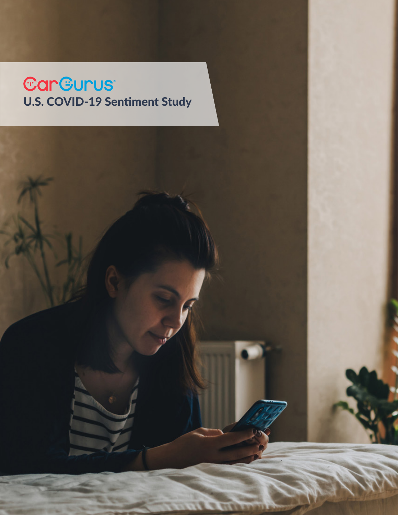# Car Gurus<br>U.S. COVID-19 Sentiment Study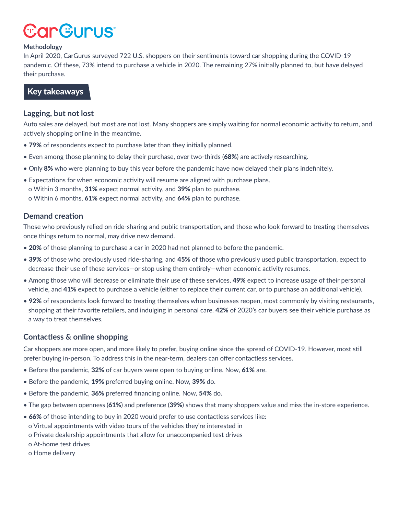# **CarGurus**

#### **Methodology**

In April 2020, CarGurus surveyed 722 U.S. shoppers on their sentiments toward car shopping during the COVID-19 pandemic. Of these, 73% intend to purchase a vehicle in 2020. The remaining 27% initially planned to, but have delayed their purchase.

#### Key takeaways

#### **Lagging, but not lost**

Auto sales are delayed, but most are not lost. Many shoppers are simply waiting for normal economic activity to return, and actively shopping online in the meantime.

- 79% of respondents expect to purchase later than they initially planned.
- Even among those planning to delay their purchase, over two-thirds (68%) are actively researching.
- Only 8% who were planning to buy this year before the pandemic have now delayed their plans indefinitely.
- Expectations for when economic activity will resume are aligned with purchase plans. o Within 3 months, 31% expect normal activity, and 39% plan to purchase. o Within 6 months, 61% expect normal activity, and 64% plan to purchase.

#### **Demand creation**

Those who previously relied on ride-sharing and public transportation, and those who look forward to treating themselves once things return to normal, may drive new demand.

- 20% of those planning to purchase a car in 2020 had not planned to before the pandemic.
- 39% of those who previously used ride-sharing, and 45% of those who previously used public transportation, expect to decrease their use of these services—or stop using them entirely—when economic activity resumes.
- Among those who will decrease or eliminate their use of these services, 49% expect to increase usage of their personal vehicle, and 41% expect to purchase a vehicle (either to replace their current car, or to purchase an additional vehicle).
- 92% of respondents look forward to treating themselves when businesses reopen, most commonly by visiting restaurants, shopping at their favorite retailers, and indulging in personal care. 42% of 2020's car buyers see their vehicle purchase as a way to treat themselves.

#### **Contactless & online shopping**

Car shoppers are more open, and more likely to prefer, buying online since the spread of COVID-19. However, most still prefer buying in-person. To address this in the near-term, dealers can offer contactless services.

- Before the pandemic, 32% of car buyers were open to buying online. Now, 61% are.
- Before the pandemic, 19% preferred buying online. Now, 39% do.
- Before the pandemic, 36% preferred financing online. Now, 54% do.
- The gap between openness (61%) and preference (39%) shows that many shoppers value and miss the in-store experience.
- 66% of those intending to buy in 2020 would prefer to use contactless services like:
- o Virtual appointments with video tours of the vehicles they're interested in
- o Private dealership appointments that allow for unaccompanied test drives
- o At-home test drives
- o Home delivery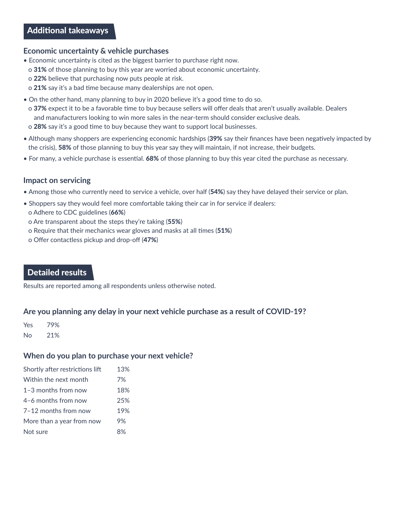# Additional takeaways

#### **Economic uncertainty & vehicle purchases**

- Economic uncertainty is cited as the biggest barrier to purchase right now.
- o 31% of those planning to buy this year are worried about economic uncertainty.
- o 22% believe that purchasing now puts people at risk.
- o 21% say it's a bad time because many dealerships are not open.
- On the other hand, many planning to buy in 2020 believe it's a good time to do so.
	- o 37% expect it to be a favorable time to buy because sellers will offer deals that aren't usually available. Dealers and manufacturers looking to win more sales in the near-term should consider exclusive deals.
- o 28% say it's a good time to buy because they want to support local businesses.
- Although many shoppers are experiencing economic hardships (39% say their finances have been negatively impacted by the crisis), 58% of those planning to buy this year say they will maintain, if not increase, their budgets.
- For many, a vehicle purchase is essential. 68% of those planning to buy this year cited the purchase as necessary.

#### **Impact on servicing**

- Among those who currently need to service a vehicle, over half (54%) say they have delayed their service or plan.
- Shoppers say they would feel more comfortable taking their car in for service if dealers:
- o Adhere to CDC guidelines (66%)
- o Are transparent about the steps they're taking (55%)
- o Require that their mechanics wear gloves and masks at all times (51%)
- o Offer contactless pickup and drop-off (47%)

# Detailed results

Results are reported among all respondents unless otherwise noted.

#### **Are you planning any delay in your next vehicle purchase as a result of COVID-19?**

Yes 79%

No 21%

#### **When do you plan to purchase your next vehicle?**

| Shortly after restrictions lift | 13%  |
|---------------------------------|------|
| Within the next month           | 7%   |
| $1-3$ months from now           | 18%  |
| 4-6 months from now             | 25%  |
| 7-12 months from now            | 19%  |
| More than a year from now       | 9%   |
| Not sure                        | ନ୍ତ⁄ |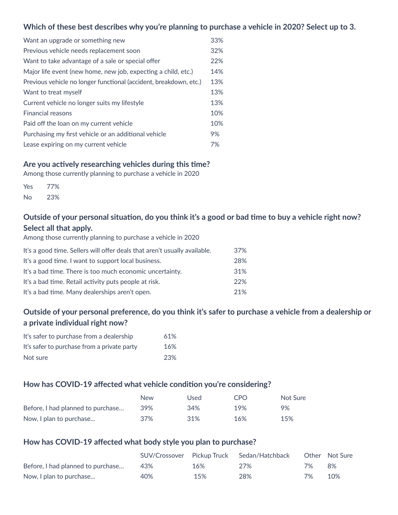#### **Which of these best describes why you're planning to purchase a vehicle in 2020? Select up to 3.**

| Want an upgrade or something new                                  | 33% |
|-------------------------------------------------------------------|-----|
| Previous vehicle needs replacement soon                           | 32% |
| Want to take advantage of a sale or special offer                 | 22% |
| Major life event (new home, new job, expecting a child, etc.)     | 14% |
| Previous vehicle no longer functional (accident, breakdown, etc.) | 13% |
| Want to treat myself                                              | 13% |
| Current vehicle no longer suits my lifestyle                      | 13% |
| <b>Financial reasons</b>                                          | 10% |
| Paid off the loan on my current vehicle                           | 10% |
| Purchasing my first vehicle or an additional vehicle              | 9%  |
| Lease expiring on my current vehicle                              | 7%  |

#### **Are you actively researching vehicles during this time?**

Among those currently planning to purchase a vehicle in 2020

| Yes | 77% |
|-----|-----|
| No  | 23% |

#### **Outside of your personal situation, do you think it's a good or bad time to buy a vehicle right now? Select all that apply.**  $\ddot{\phantom{a}}$

| Among those currently planning to purchase a vehicle in 2020              |     |
|---------------------------------------------------------------------------|-----|
| It's a good time. Sellers will offer deals that aren't usually available. | 37% |
| It's a good time. I want to support local business.                       | 28% |
| It's a bad time. There is too much economic uncertainty.                  | 31% |
| It's a bad time. Retail activity puts people at risk.                     | 22% |
| It's a bad time. Many dealerships aren't open.                            | 21% |

# **Outside of your personal preference, do you think it's safer to purchase a vehicle from a dealership or a private individual right now?**

| It's safer to purchase from a dealership    | 61% |
|---------------------------------------------|-----|
| It's safer to purchase from a private party | 16% |
| Not sure                                    | 23% |

#### **How has COVID-19 affected what vehicle condition you're considering?**

|                                   | New | Used | C <sub>PO</sub> | Not Sure |
|-----------------------------------|-----|------|-----------------|----------|
| Before. I had planned to purchase | 39% | 34%  | 19%             | 9%       |
| Now, I plan to purchase           | 37% | 31%  | 16%             | 15%      |

#### **How has COVID-19 affected what body style you plan to purchase?**

|                                   |     |     | SUV/Crossover Pickup Truck Sedan/Hatchback |    | Other Not Sure |
|-----------------------------------|-----|-----|--------------------------------------------|----|----------------|
| Before, I had planned to purchase | 43% | 16% | 27%                                        | 7% | 8%             |
| Now, I plan to purchase           | 40% | 15% | 28%                                        | 7% | 10%            |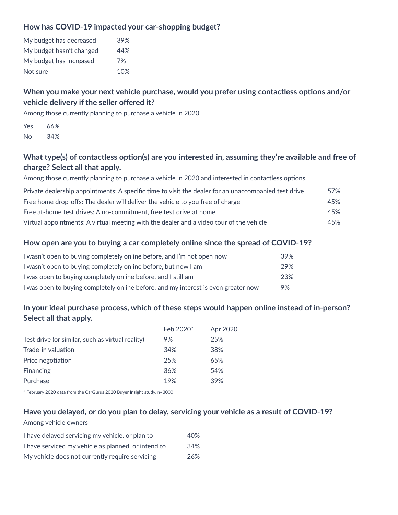#### **How has COVID-19 impacted your car-shopping budget?**

| My budget has decreased  | 39% |
|--------------------------|-----|
| My budget hasn't changed | 44% |
| My budget has increased  | 7%  |
| Not sure                 | 10% |

# **When you make your next vehicle purchase, would you prefer using contactless options and/or vehicle delivery if the seller offered it?**

Among those currently planning to purchase a vehicle in 2020

| Yes | 66% |
|-----|-----|
| No  | 34% |

## **What type(s) of contactless option(s) are you interested in, assuming they're available and free of charge? Select all that apply.**

Among those currently planning to purchase a vehicle in 2020 and interested in contactless options

| Private dealership appointments: A specific time to visit the dealer for an unaccompanied test drive | 57% |
|------------------------------------------------------------------------------------------------------|-----|
| Free home drop-offs: The dealer will deliver the vehicle to you free of charge                       | 45% |
| Free at-home test drives: A no-commitment, free test drive at home                                   | 45% |
| Virtual appointments: A virtual meeting with the dealer and a video tour of the vehicle              | 45% |

#### **How open are you to buying a car completely online since the spread of COVID-19?**

| I wasn't open to buying completely online before, and I'm not open now             | 39% |
|------------------------------------------------------------------------------------|-----|
| I wasn't open to buying completely online before, but now I am                     | 29% |
| I was open to buying completely online before, and I still am                      | 23% |
| I was open to buying completely online before, and my interest is even greater now | 9%  |

#### **In your ideal purchase process, which of these steps would happen online instead of in-person? Select all that apply.**

|                                                  | Feb 2020 <sup>*</sup> | Apr 2020 |
|--------------------------------------------------|-----------------------|----------|
| Test drive (or similar, such as virtual reality) | 9%                    | 25%      |
| Trade-in valuation                               | 34%                   | 38%      |
| Price negotiation                                | 25%                   | 65%      |
| Financing                                        | 36%                   | 54%      |
| Purchase                                         | 19%                   | 39%      |
|                                                  |                       |          |

\* February 2020 data from the CarGurus 2020 Buyer Insight study, n=3000

#### **Have you delayed, or do you plan to delay, servicing your vehicle as a result of COVID-19?**

#### Among vehicle owners

| I have delayed servicing my vehicle, or plan to     | 40% |
|-----------------------------------------------------|-----|
| I have serviced my vehicle as planned, or intend to | 34% |
| My vehicle does not currently require servicing     | 26% |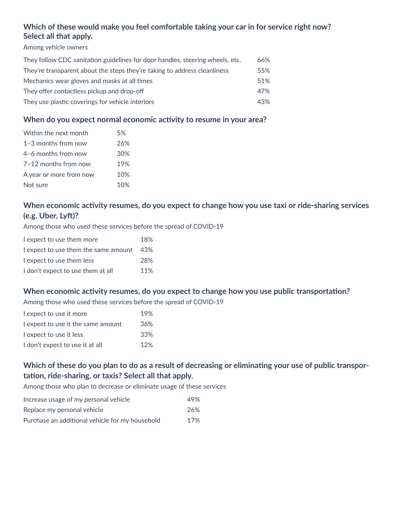# **Which of these would make you feel comfortable taking your car in for service right now? Select all that apply.**

Among vehicle owners

| They follow CDC sanitation guidelines for door handles, steering wheels, etc. | 66% |
|-------------------------------------------------------------------------------|-----|
| They're transparent about the steps they're taking to address cleanliness     | 55% |
| Mechanics wear gloves and masks at all times                                  | 51% |
| They offer contactless pickup and drop-off                                    | 47% |
| They use plastic coverings for vehicle interiors                              | 43% |

#### **When do you expect normal economic activity to resume in your area?**

| Within the next month   | 5%  |
|-------------------------|-----|
| $1-3$ months from now   | 26% |
| 4-6 months from now     | 30% |
| $7-12$ months from now  | 19% |
| A year or more from now | 10% |
| Not sure                | 10% |

# **When economic activity resumes, do you expect to change how you use taxi or ride-sharing services (e.g. Uber, Lyft)?**

Among those who used these services before the spread of COVID-19

| I expect to use them more            | 18% |
|--------------------------------------|-----|
| I expect to use them the same amount | 43% |
| I expect to use them less            | 28% |
| I don't expect to use them at all    | 11% |

#### **When economic activity resumes, do you expect to change how you use public transportation?**

Among those who used these services before the spread of COVID-19

| I expect to use it more            | 19% |
|------------------------------------|-----|
| I expect to use it the same amount | 36% |
| I expect to use it less            | 33% |
| I don't expect to use it at all    | 12% |

### **Which of these do you plan to do as a result of decreasing or eliminating your use of public transportation, ride-sharing, or taxis? Select all that apply.**

Among those who plan to decrease or eliminate usage of these services

| Increase usage of my personal vehicle           | 49% |
|-------------------------------------------------|-----|
| Replace my personal vehicle                     | 26% |
| Purchase an additional vehicle for my household | 17% |